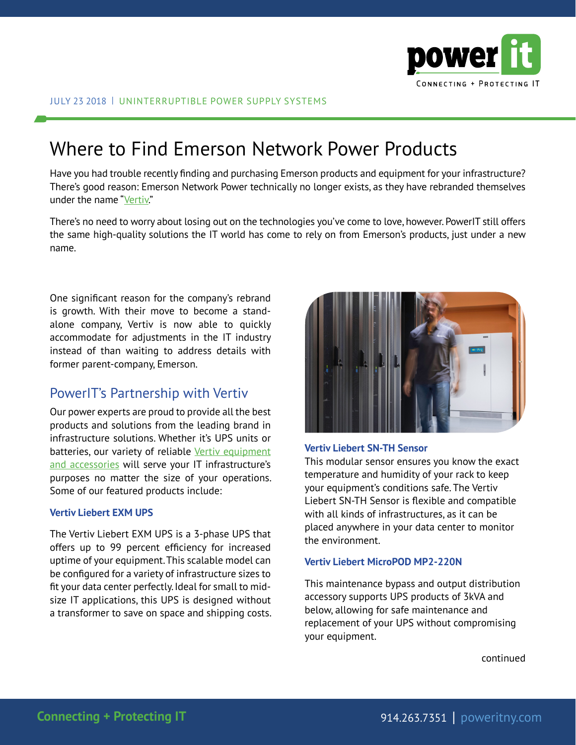

# Where to Find Emerson Network Power Products

Have you had trouble recently finding and purchasing Emerson products and equipment for your infrastructure? There's good reason: Emerson Network Power technically no longer exists, as they have rebranded themselves under the name "[Vertiv.](https://www.vertivco.com/en-us/about/about-vertiv/corporate-video/)"

There's no need to worry about losing out on the technologies you've come to love, however. PowerIT still offers the same high-quality solutions the IT world has come to rely on from Emerson's products, just under a new name.

One significant reason for the company's rebrand is growth. With their move to become a standalone company, Vertiv is now able to quickly accommodate for adjustments in the IT industry instead of than waiting to address details with former parent-company, Emerson.

### PowerIT's Partnership with Vertiv

Our power experts are proud to provide all the best products and solutions from the leading brand in infrastructure solutions. Whether it's UPS units or batteries, our variety of reliable Vertiv equipment [and accessories](https://poweritny.com/shop-vertiv/) will serve your IT infrastructure's purposes no matter the size of your operations. Some of our featured products include:

#### **Vertiv Liebert EXM UPS**

The Vertiv Liebert EXM UPS is a 3-phase UPS that offers up to 99 percent efficiency for increased uptime of your equipment. This scalable model can be configured for a variety of infrastructure sizes to fit your data center perfectly. Ideal for small to midsize IT applications, this UPS is designed without a transformer to save on space and shipping costs.



#### **Vertiv Liebert SN-TH Sensor**

This modular sensor ensures you know the exact temperature and humidity of your rack to keep your equipment's conditions safe. The Vertiv Liebert SN-TH Sensor is flexible and compatible with all kinds of infrastructures, as it can be placed anywhere in your data center to monitor the environment.

#### **Vertiv Liebert MicroPOD MP2-220N**

This maintenance bypass and output distribution accessory supports UPS products of 3kVA and below, allowing for safe maintenance and replacement of your UPS without compromising your equipment.

continued